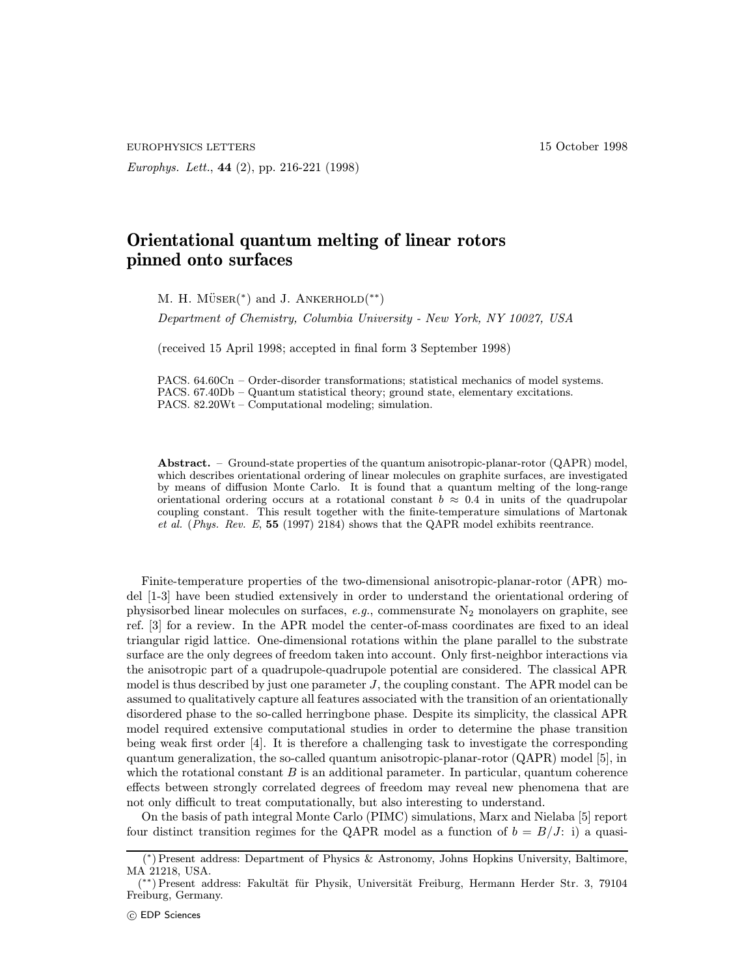EUROPHYSICS LETTERS 15 October 1998

Europhys. Lett., 44 (2), pp. 216-221 (1998)

## Orientational quantum melting of linear rotors pinned onto surfaces

M. H. MÜSER( $*$ ) and J. ANKERHOLD $(**)$ 

Department of Chemistry, Columbia University - New York, NY 10027, USA

(received 15 April 1998; accepted in final form 3 September 1998)

PACS. 64.60Cn – Order-disorder transformations; statistical mechanics of model systems. PACS. 67.40Db – Quantum statistical theory; ground state, elementary excitations. PACS. 82.20Wt – Computational modeling; simulation.

Abstract. – Ground-state properties of the quantum anisotropic-planar-rotor (QAPR) model, which describes orientational ordering of linear molecules on graphite surfaces, are investigated by means of diffusion Monte Carlo. It is found that a quantum melting of the long-range orientational ordering occurs at a rotational constant  $b \approx 0.4$  in units of the quadrupolar coupling constant. This result together with the finite-temperature simulations of Martonak et al. (Phys. Rev. E, 55 (1997) 2184) shows that the QAPR model exhibits reentrance.

Finite-temperature properties of the two-dimensional anisotropic-planar-rotor (APR) model [1-3] have been studied extensively in order to understand the orientational ordering of physisorbed linear molecules on surfaces, e.g., commensurate  $N_2$  monolayers on graphite, see ref. [3] for a review. In the APR model the center-of-mass coordinates are fixed to an ideal triangular rigid lattice. One-dimensional rotations within the plane parallel to the substrate surface are the only degrees of freedom taken into account. Only first-neighbor interactions via the anisotropic part of a quadrupole-quadrupole potential are considered. The classical APR model is thus described by just one parameter  $J$ , the coupling constant. The APR model can be assumed to qualitatively capture all features associated with the transition of an orientationally disordered phase to the so-called herringbone phase. Despite its simplicity, the classical APR model required extensive computational studies in order to determine the phase transition being weak first order [4]. It is therefore a challenging task to investigate the corresponding quantum generalization, the so-called quantum anisotropic-planar-rotor (QAPR) model [5], in which the rotational constant  $B$  is an additional parameter. In particular, quantum coherence effects between strongly correlated degrees of freedom may reveal new phenomena that are not only difficult to treat computationally, but also interesting to understand.

On the basis of path integral Monte Carlo (PIMC) simulations, Marx and Nielaba [5] report four distinct transition regimes for the QAPR model as a function of  $b = B/J$ : i) a quasi-

<sup>(</sup> <sup>∗</sup>) Present address: Department of Physics & Astronomy, Johns Hopkins University, Baltimore, MA 21218, USA.

<sup>(</sup> ∗∗) Present address: Fakult¨at f¨ur Physik, Universit¨at Freiburg, Hermann Herder Str. 3, 79104 Freiburg, Germany.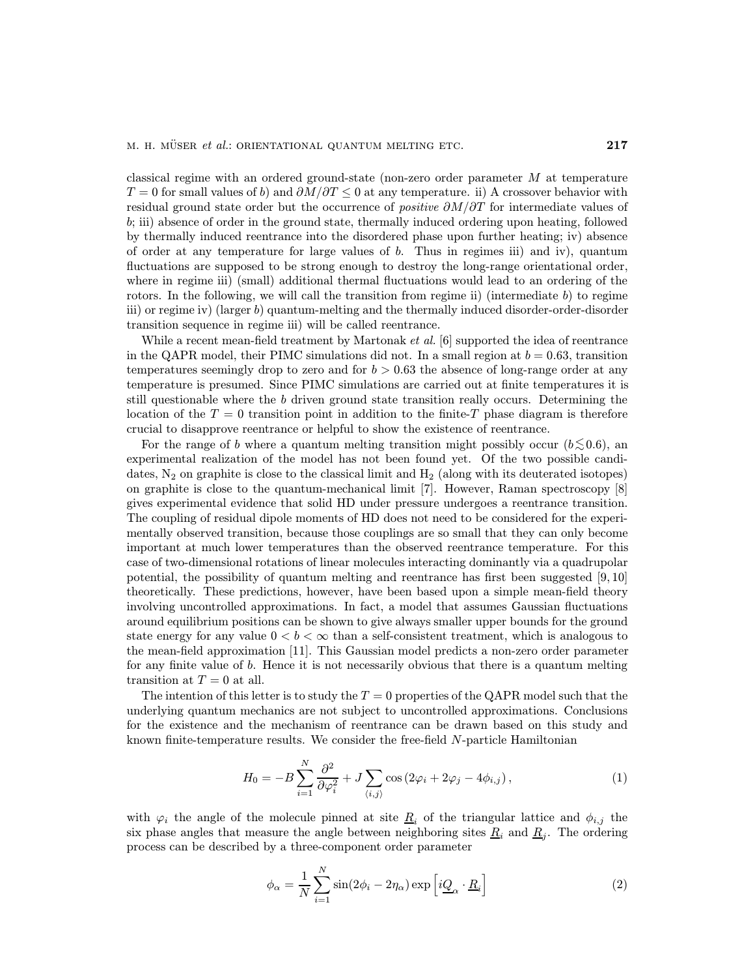classical regime with an ordered ground-state (non-zero order parameter M at temperature  $T = 0$  for small values of b) and  $\partial M/\partial T \leq 0$  at any temperature. ii) A crossover behavior with residual ground state order but the occurrence of *positive*  $\partial M/\partial T$  for intermediate values of b; iii) absence of order in the ground state, thermally induced ordering upon heating, followed by thermally induced reentrance into the disordered phase upon further heating; iv) absence of order at any temperature for large values of  $b$ . Thus in regimes iii) and iv), quantum fluctuations are supposed to be strong enough to destroy the long-range orientational order, where in regime iii) (small) additional thermal fluctuations would lead to an ordering of the rotors. In the following, we will call the transition from regime ii) (intermediate  $b$ ) to regime iii) or regime iv) (larger b) quantum-melting and the thermally induced disorder-order-disorder transition sequence in regime iii) will be called reentrance.

While a recent mean-field treatment by Martonak *et al.* [6] supported the idea of reentrance in the QAPR model, their PIMC simulations did not. In a small region at  $b = 0.63$ , transition temperatures seemingly drop to zero and for  $b > 0.63$  the absence of long-range order at any temperature is presumed. Since PIMC simulations are carried out at finite temperatures it is still questionable where the b driven ground state transition really occurs. Determining the location of the  $T = 0$  transition point in addition to the finite-T phase diagram is therefore crucial to disapprove reentrance or helpful to show the existence of reentrance.

For the range of b where a quantum melting transition might possibly occur ( $b \lesssim 0.6$ ), an experimental realization of the model has not been found yet. Of the two possible candidates,  $N_2$  on graphite is close to the classical limit and  $H_2$  (along with its deuterated isotopes) on graphite is close to the quantum-mechanical limit [7]. However, Raman spectroscopy [8] gives experimental evidence that solid HD under pressure undergoes a reentrance transition. The coupling of residual dipole moments of HD does not need to be considered for the experimentally observed transition, because those couplings are so small that they can only become important at much lower temperatures than the observed reentrance temperature. For this case of two-dimensional rotations of linear molecules interacting dominantly via a quadrupolar potential, the possibility of quantum melting and reentrance has first been suggested [9, 10] theoretically. These predictions, however, have been based upon a simple mean-field theory involving uncontrolled approximations. In fact, a model that assumes Gaussian fluctuations around equilibrium positions can be shown to give always smaller upper bounds for the ground state energy for any value  $0 < b < \infty$  than a self-consistent treatment, which is analogous to the mean-field approximation [11]. This Gaussian model predicts a non-zero order parameter for any finite value of b. Hence it is not necessarily obvious that there is a quantum melting transition at  $T = 0$  at all.

The intention of this letter is to study the  $T = 0$  properties of the QAPR model such that the underlying quantum mechanics are not subject to uncontrolled approximations. Conclusions for the existence and the mechanism of reentrance can be drawn based on this study and known finite-temperature results. We consider the free-field N-particle Hamiltonian

$$
H_0 = -B\sum_{i=1}^N \frac{\partial^2}{\partial \varphi_i^2} + J \sum_{\langle i,j\rangle} \cos\left(2\varphi_i + 2\varphi_j - 4\phi_{i,j}\right),\tag{1}
$$

with  $\varphi_i$  the angle of the molecule pinned at site  $\underline{R}_i$  of the triangular lattice and  $\phi_{i,j}$  the six phase angles that measure the angle between neighboring sites  $\underline{R}_i$  and  $\underline{R}_j$ . The ordering process can be described by a three-component order parameter

$$
\phi_{\alpha} = \frac{1}{N} \sum_{i=1}^{N} \sin(2\phi_i - 2\eta_{\alpha}) \exp\left[i\underline{Q}_{\alpha} \cdot \underline{R}_i\right]
$$
\n(2)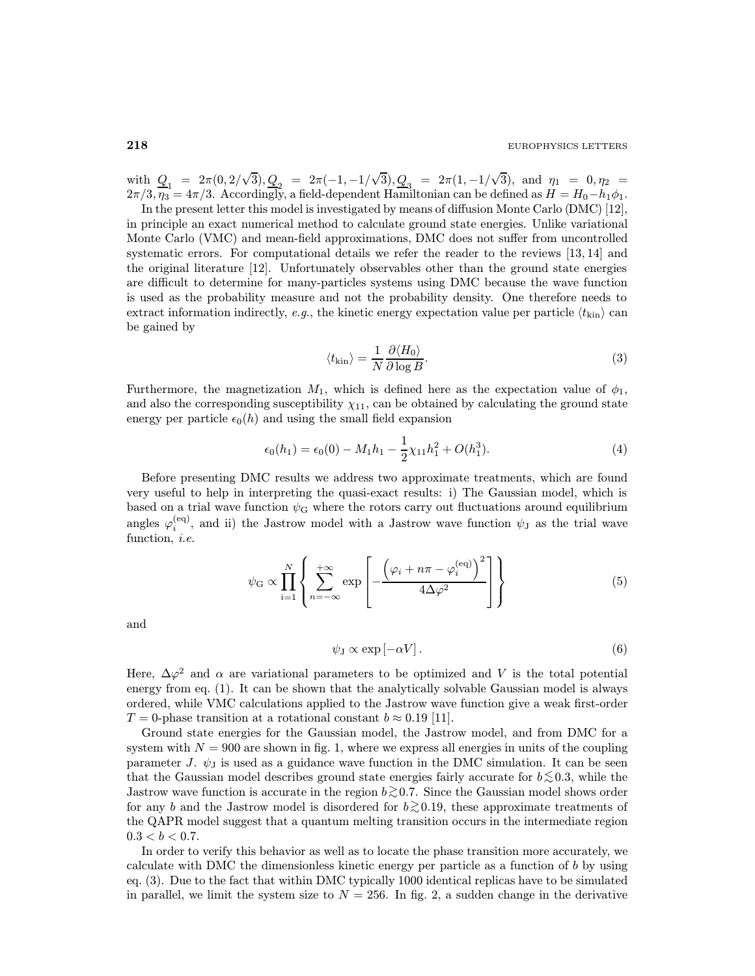with  $Q_1 = 2\pi(0, 2/\sqrt{3}), Q_2 = 2\pi(-1, -1/\sqrt{3}), Q_3 = 2\pi(1, -1/\sqrt{3}),$  and  $\eta_1 = 0, \eta_2 =$  $2\pi/3, \eta_3 = 4\pi/3$ . Accordingly, a field-dependent Hamiltonian can be defined as  $H = H_0 - h_1 \phi_1$ .

In the present letter this model is investigated by means of diffusion Monte Carlo (DMC) [12], in principle an exact numerical method to calculate ground state energies. Unlike variational Monte Carlo (VMC) and mean-field approximations, DMC does not suffer from uncontrolled systematic errors. For computational details we refer the reader to the reviews [13, 14] and the original literature [12]. Unfortunately observables other than the ground state energies are difficult to determine for many-particles systems using DMC because the wave function is used as the probability measure and not the probability density. One therefore needs to extract information indirectly, e.g., the kinetic energy expectation value per particle  $\langle t_{\text{kin}} \rangle$  can be gained by

$$
\langle t_{\rm kin} \rangle = \frac{1}{N} \frac{\partial \langle H_0 \rangle}{\partial \log B}.
$$
 (3)

Furthermore, the magnetization  $M_1$ , which is defined here as the expectation value of  $\phi_1$ , and also the corresponding susceptibility  $\chi_{11}$ , can be obtained by calculating the ground state energy per particle  $\epsilon_0(h)$  and using the small field expansion

$$
\epsilon_0(h_1) = \epsilon_0(0) - M_1 h_1 - \frac{1}{2} \chi_{11} h_1^2 + O(h_1^3). \tag{4}
$$

Before presenting DMC results we address two approximate treatments, which are found very useful to help in interpreting the quasi-exact results: i) The Gaussian model, which is based on a trial wave function  $\psi_{\mathbf{G}}$  where the rotors carry out fluctuations around equilibrium angles  $\varphi_i^{(eq)}$ , and ii) the Jastrow model with a Jastrow wave function  $\psi_J$  as the trial wave function, *i.e.* 

$$
\psi_{\mathcal{G}} \propto \prod_{i=1}^{N} \left\{ \sum_{n=-\infty}^{+\infty} \exp\left[-\frac{\left(\varphi_i + n\pi - \varphi_i^{(\text{eq})}\right)^2}{4\Delta\varphi^2}\right] \right\} \tag{5}
$$

and

$$
\psi_{\mathcal{J}} \propto \exp\left[-\alpha V\right].\tag{6}
$$

Here,  $\Delta\varphi^2$  and  $\alpha$  are variational parameters to be optimized and V is the total potential energy from eq. (1). It can be shown that the analytically solvable Gaussian model is always ordered, while VMC calculations applied to the Jastrow wave function give a weak first-order  $T = 0$ -phase transition at a rotational constant  $b \approx 0.19$  [11].

Ground state energies for the Gaussian model, the Jastrow model, and from DMC for a system with  $N = 900$  are shown in fig. 1, where we express all energies in units of the coupling parameter J.  $\psi_{\text{J}}$  is used as a guidance wave function in the DMC simulation. It can be seen that the Gaussian model describes ground state energies fairly accurate for  $b \lesssim 0.3$ , while the Jastrow wave function is accurate in the region  $b \gtrsim 0.7$ . Since the Gaussian model shows order for any b and the Jastrow model is disordered for  $b \gtrsim 0.19$ , these approximate treatments of the QAPR model suggest that a quantum melting transition occurs in the intermediate region  $0.3 < b < 0.7$ .

In order to verify this behavior as well as to locate the phase transition more accurately, we calculate with DMC the dimensionless kinetic energy per particle as a function of b by using eq. (3). Due to the fact that within DMC typically 1000 identical replicas have to be simulated in parallel, we limit the system size to  $N = 256$ . In fig. 2, a sudden change in the derivative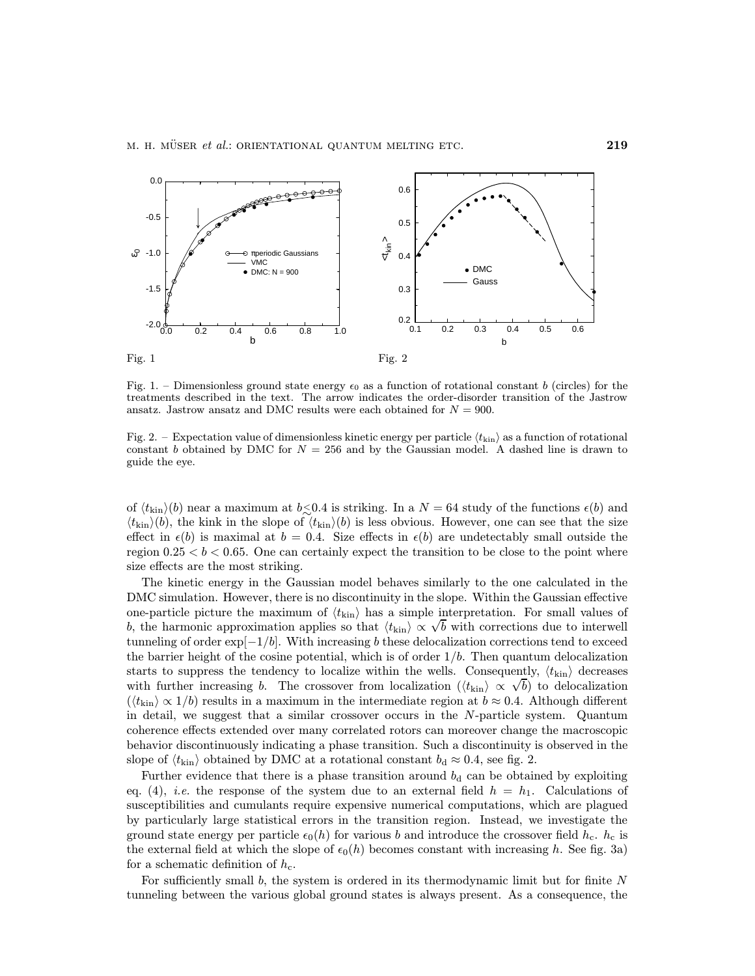

Fig. 1. – Dimensionless ground state energy  $\epsilon_0$  as a function of rotational constant b (circles) for the treatments described in the text. The arrow indicates the order-disorder transition of the Jastrow ansatz. Jastrow ansatz and DMC results were each obtained for  $N = 900$ .

Fig. 2. – Expectation value of dimensionless kinetic energy per particle  $\langle t_{\rm kin} \rangle$  as a function of rotational constant b obtained by DMC for  $N = 256$  and by the Gaussian model. A dashed line is drawn to guide the eye.

of  $\langle t_{\rm kin} \rangle$  near a maximum at  $b \le 0.4$  is striking. In a  $N = 64$  study of the functions  $\epsilon(b)$  and  $\langle t_{\text{kin}}\rangle(b)$ , the kink in the slope of  $\langle t_{\text{kin}}\rangle(b)$  is less obvious. However, one can see that the size effect in  $\epsilon(b)$  is maximal at  $b = 0.4$ . Size effects in  $\epsilon(b)$  are undetectably small outside the region  $0.25 < b < 0.65$ . One can certainly expect the transition to be close to the point where size effects are the most striking.

The kinetic energy in the Gaussian model behaves similarly to the one calculated in the DMC simulation. However, there is no discontinuity in the slope. Within the Gaussian effective one-particle picture the maximum of  $\langle t_{\rm kin} \rangle$  has a simple interpretation. For small values of b, the harmonic approximation applies so that  $\langle t_{\rm kin} \rangle \propto \sqrt{b}$  with corrections due to interwell b, the harmonic approximation applies so that  $\langle t_{\rm kin} \rangle \propto \sqrt{b}$  with corrections due to interwell tunneling of order  $\exp[-1/b]$ . With increasing b these delocalization corrections tend to exceed the barrier height of the cosine potential, which is of order  $1/b$ . Then quantum delocalization starts to suppress the tendency to localize within the wells. Consequently,  $\langle t_{\rm kin} \rangle$  decreases starts to suppress the tendency to localize within the wells. Consequently,  $\langle t_{\rm kin} \rangle$  decreases with further increasing b. The crossover from localization  $(\langle t_{\rm kin} \rangle \propto \sqrt{b})$  to delocalization  $(\langle t_{\rm kin} \rangle \propto 1/b)$  results in a maximum in the intermediate region at  $b \approx 0.4$ . Although different in detail, we suggest that a similar crossover occurs in the N-particle system. Quantum coherence effects extended over many correlated rotors can moreover change the macroscopic behavior discontinuously indicating a phase transition. Such a discontinuity is observed in the slope of  $\langle t_{\rm kin} \rangle$  obtained by DMC at a rotational constant  $b_d \approx 0.4$ , see fig. 2.

Further evidence that there is a phase transition around  $b_d$  can be obtained by exploiting eq. (4), *i.e.* the response of the system due to an external field  $h = h_1$ . Calculations of susceptibilities and cumulants require expensive numerical computations, which are plagued by particularly large statistical errors in the transition region. Instead, we investigate the ground state energy per particle  $\epsilon_0(h)$  for various b and introduce the crossover field  $h_c$ .  $h_c$  is the external field at which the slope of  $\epsilon_0(h)$  becomes constant with increasing h. See fig. 3a) for a schematic definition of  $h_c$ .

For sufficiently small b, the system is ordered in its thermodynamic limit but for finite N tunneling between the various global ground states is always present. As a consequence, the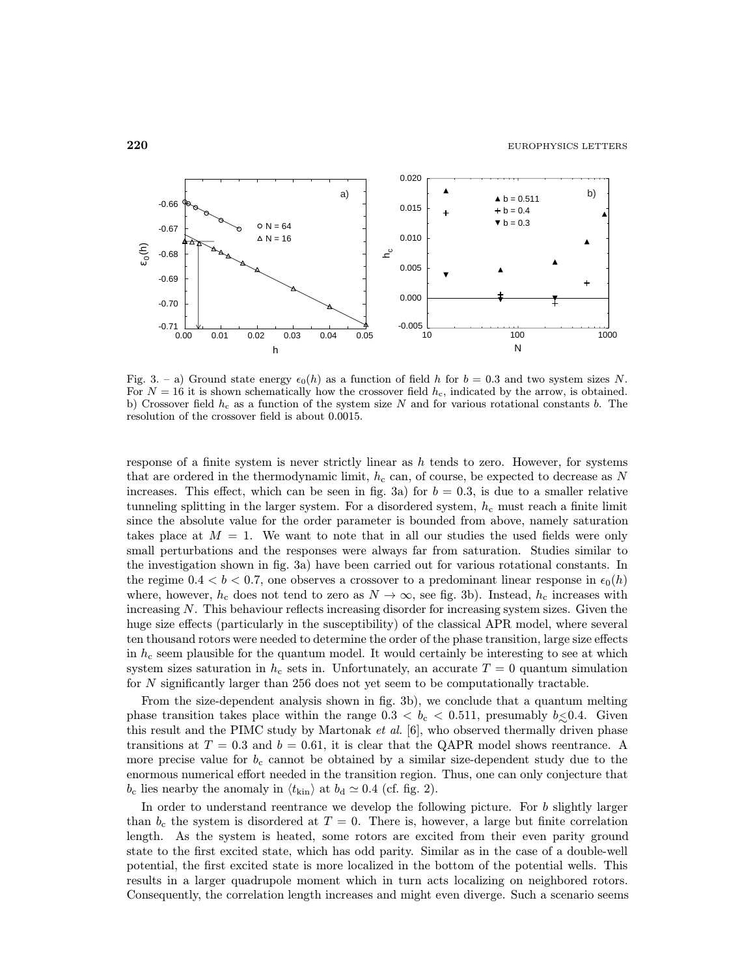

Fig. 3. – a) Ground state energy  $\epsilon_0(h)$  as a function of field h for  $b = 0.3$  and two system sizes N. For  $N = 16$  it is shown schematically how the crossover field  $h_c$ , indicated by the arrow, is obtained. b) Crossover field  $h_c$  as a function of the system size N and for various rotational constants b. The resolution of the crossover field is about 0.0015.

response of a finite system is never strictly linear as  $h$  tends to zero. However, for systems that are ordered in the thermodynamic limit,  $h_c$  can, of course, be expected to decrease as N increases. This effect, which can be seen in fig. 3a) for  $b = 0.3$ , is due to a smaller relative tunneling splitting in the larger system. For a disordered system,  $h_c$  must reach a finite limit since the absolute value for the order parameter is bounded from above, namely saturation takes place at  $M = 1$ . We want to note that in all our studies the used fields were only small perturbations and the responses were always far from saturation. Studies similar to the investigation shown in fig. 3a) have been carried out for various rotational constants. In the regime  $0.4 < b < 0.7$ , one observes a crossover to a predominant linear response in  $\epsilon_0(h)$ where, however,  $h_c$  does not tend to zero as  $N \to \infty$ , see fig. 3b). Instead,  $h_c$  increases with increasing N. This behaviour reflects increasing disorder for increasing system sizes. Given the huge size effects (particularly in the susceptibility) of the classical APR model, where several ten thousand rotors were needed to determine the order of the phase transition, large size effects in  $h_c$  seem plausible for the quantum model. It would certainly be interesting to see at which system sizes saturation in  $h_c$  sets in. Unfortunately, an accurate  $T = 0$  quantum simulation for N significantly larger than 256 does not yet seem to be computationally tractable.

From the size-dependent analysis shown in fig. 3b), we conclude that a quantum melting phase transition takes place within the range  $0.3 < b_c < 0.511$ , presumably  $b \le 0.4$ . Given this result and the PIMC study by Martonak  $et al. [6]$ , who observed thermally driven phase transitions at  $T = 0.3$  and  $b = 0.61$ , it is clear that the QAPR model shows reentrance. A more precise value for  $b_c$  cannot be obtained by a similar size-dependent study due to the enormous numerical effort needed in the transition region. Thus, one can only conjecture that  $b_c$  lies nearby the anomaly in  $\langle t_{\rm kin} \rangle$  at  $b_d \simeq 0.4$  (cf. fig. 2).

In order to understand reentrance we develop the following picture. For  $b$  slightly larger than  $b_c$  the system is disordered at  $T = 0$ . There is, however, a large but finite correlation length. As the system is heated, some rotors are excited from their even parity ground state to the first excited state, which has odd parity. Similar as in the case of a double-well potential, the first excited state is more localized in the bottom of the potential wells. This results in a larger quadrupole moment which in turn acts localizing on neighbored rotors. Consequently, the correlation length increases and might even diverge. Such a scenario seems